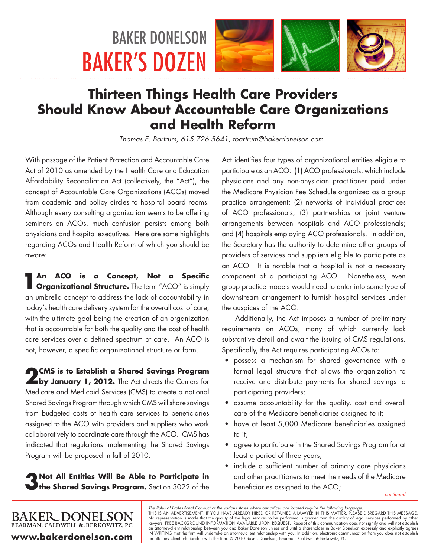# BAKER DONELSON BAKER'S DOZEN







## **Thirteen Things Health Care Providers Should Know About Accountable Care Organizations and Health Reform**

*Thomas E. Bartrum, 615.726.5641, tbartrum@bakerdonelson.com*

With passage of the Patient Protection and Accountable Care Act of 2010 as amended by the Health Care and Education Affordability Reconciliation Act (collectively, the "Act"), the concept of Accountable Care Organizations (ACOs) moved from academic and policy circles to hospital board rooms. Although every consulting organization seems to be offering seminars on ACOs, much confusion persists among both physicians and hospital executives. Here are some highlights regarding ACOs and Health Reform of which you should be aware:

**1An ACO is a Concept, Not a Specific Organizational Structure.** The term "ACO" is simply an umbrella concept to address the lack of accountability in today's health care delivery system for the overall cost of care, with the ultimate goal being the creation of an organization that is accountable for both the quality and the cost of health care services over a defined spectrum of care. An ACO is not, however, a specific organizational structure or form.

**2 CMS is to Establish a Shared Savings Program by January 1, 2012.** The Act directs the Centers for Medicare and Medicaid Services (CMS) to create a national Shared Savings Program through which CMS will share savings from budgeted costs of health care services to beneficiaries assigned to the ACO with providers and suppliers who work collaboratively to coordinate care through the ACO. CMS has indicated that regulations implementing the Shared Savings Program will be proposed in fall of 2010.

**3Not All Entities Will Be Able to Participate in the Shared Savings Program.** Section 3022 of the

**www.bakerdonelson.com**

**BAKER DONELSON** BEARMAN, CALDWELL & BERKOWITZ, PC

Act identifies four types of organizational entities eligible to participate as an ACO: (1) ACO professionals, which include physicians and any non-physician practitioner paid under the Medicare Physician Fee Schedule organized as a group practice arrangement; (2) networks of individual practices of ACO professionals; (3) partnerships or joint venture arrangements between hospitals and ACO professionals; and (4) hospitals employing ACO professionals. In addition, the Secretary has the authority to determine other groups of providers of services and suppliers eligible to participate as an ACO. It is notable that a hospital is not a necessary component of a participating ACO. Nonetheless, even group practice models would need to enter into some type of downstream arrangement to furnish hospital services under the auspices of the ACO.

Additionally, the Act imposes a number of preliminary requirements on ACOs, many of which currently lack substantive detail and await the issuing of CMS regulations. Specifically, the Act requires participating ACOs to:

- • possess a mechanism for shared governance with a formal legal structure that allows the organization to receive and distribute payments for shared savings to participating providers;
- assume accountability for the quality, cost and overall care of the Medicare beneficiaries assigned to it;
- have at least 5,000 Medicare beneficiaries assigned to it;
- • agree to participate in the Shared Savings Program for at least a period of three years;
- include a sufficient number of primary care physicians and other practitioners to meet the needs of the Medicare beneficiaries assigned to the ACO;

*continued*

The Rules of Professional Conduct of the various states where our offices are located require the following language:<br>THIS IS AN ADVERTISEMENT. IF YOU HAVE ALREADY HIRED OR RETAINED A LAWYER IN THIS MATTER, PLEASE DISREGAR No representation is made that the quality of the legal services to be performed is greater than the quality of legal services performed by other lawyers. FREE BACKGROUND INFORMATION AVAILABLE UPON REQUEST. Receipt of this communication does not signify and will not establish an attorney-client relationship between you and Baker Donelson unless and until a shareholder in Baker Donelson expressly and explicitly agrees<br>IN WRITING that the firm will undertake an attorney-client relationship with y an attorney client relationship with the firm. © 2010 Baker, Donelson, Bearman, Caldwell & Berkowitz, PC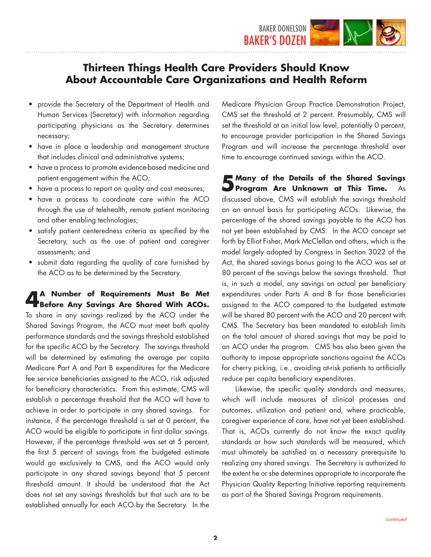

- provide the Secretary of the Department of Health and Human Services (Secretary) with information regarding participating physicians as the Secretary determines necessary;
- have in place a leadership and management structure that includes clinical and administrative systems;
- have a process to promote evidence-based medicine and patient engagement within the ACO;
- have a process to report on quality and cost measures;
- have a process to coordinate care within the ACO through the use of telehealth, remote patient monitoring and other enabling technologies;
- satisfy patient centeredness criteria as specified by the Secretary, such as the use of patient and caregiver assessments; and
- submit data regarding the quality of care furnished by the ACO as to be determined by the Secretary.

**4A Number of Requirements Must Be Met Before Any Savings Are Shared With ACOs.** To share in any savings realized by the ACO under the Shared Savings Program, the ACO must meet both quality performance standards and the savings threshold established for the specific ACO by the Secretary. The savings threshold will be determined by estimating the average per capita Medicare Part A and Part B expenditures for the Medicare fee service beneficiaries assigned to the ACO, risk adjusted for beneficiary characteristics. From this estimate, CMS will establish a percentage threshold that the ACO will have to achieve in order to participate in any shared savings. For instance, if the percentage threshold is set at 0 percent, the ACO would be eligible to participate in first dollar savings. However, if the percentage threshold was set at 5 percent, the first 5 percent of savings from the budgeted estimate would go exclusively to CMS, and the ACO would only participate in any shared savings beyond that 5 percent threshold amount. It should be understood that the Act does not set any savings thresholds but that such are to be established annually for each ACO by the Secretary. In the

Medicare Physician Group Practice Demonstration Project, CMS set the threshold at 2 percent. Presumably, CMS will set the threshold at an initial low level, potentially 0 percent, to encourage provider participation in the Shared Savings Program and will increase the percentage threshold over time to encourage continued savings within the ACO.

**5Many of the Details of the Shared Savings Program Are Unknown at This Time.** discussed above, CMS will establish the savings threshold on an annual basis for participating ACOs. Likewise, the percentage of the shared savings payable to the ACO has not yet been established by CMS. In the ACO concept set forth by Elliot Fisher, Mark McClellan and others, which is the model largely adopted by Congress in Section 3022 of the Act, the shared savings bonus going to the ACO was set at 80 percent of the savings below the savings threshold. That is, in such a model, any savings on actual per beneficiary expenditures under Parts A and B for those beneficiaries assigned to the ACO compared to the budgeted estimate will be shared 80 percent with the ACO and 20 percent with CMS. The Secretary has been mandated to establish limits on the total amount of shared savings that may be paid to an ACO under the program. CMS has also been given the authority to impose appropriate sanctions against the ACOs for cherry picking, i.e., avoiding at-risk patients to artificially reduce per capita beneficiary expenditures.

Likewise, the specific quality standards and measures, which will include measures of clinical processes and outcomes, utilization and patient and, where practicable, caregiver experience of care, have not yet been established. That is, ACOs currently do not know the exact quality standards or how such standards will be measured, which must ultimately be satisfied as a necessary prerequisite to realizing any shared savings. The Secretary is authorized to the extent he or she determines appropriate to incorporate the Physician Quality Reporting Initiative reporting requirements as part of the Shared Savings Program requirements.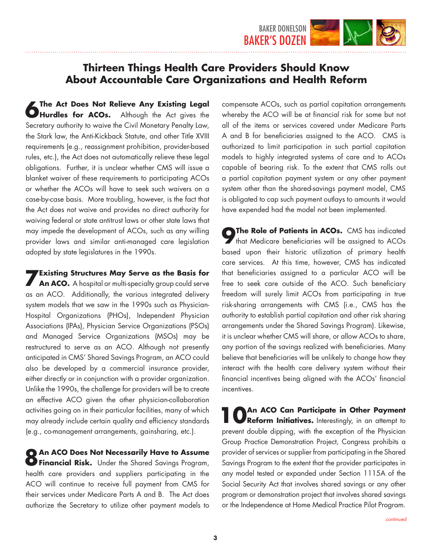

**6 The Act Does Not Relieve Any Existing Legal <b>Containers** for ACOs. Although the Act gives the Secretary authority to waive the Civil Monetary Penalty Law, the Stark law, the Anti-Kickback Statute, and other Title XVIII requirements (e.g., reassignment prohibition, provider-based rules, etc.), the Act does not automatically relieve these legal obligations. Further, it is unclear whether CMS will issue a blanket waiver of these requirements to participating ACOs or whether the ACOs will have to seek such waivers on a case-by-case basis. More troubling, however, is the fact that the Act does not waive and provides no direct authority for waiving federal or state antitrust laws or other state laws that may impede the development of ACOs, such as any willing provider laws and similar anti-managed care legislation adopted by state legislatures in the 1990s.

**7 Existing Structures May Serve as the Basis for <b>An ACO.** A hospital or multi-specialty group could serve as an ACO. Additionally, the various integrated delivery system models that we saw in the 1990s such as Physician-Hospital Organizations (PHOs), Independent Physician Associations (IPAs), Physician Service Organizations (PSOs) and Managed Service Organizations (MSOs) may be restructured to serve as an ACO. Although not presently anticipated in CMS' Shared Savings Program, an ACO could also be developed by a commercial insurance provider, either directly or in conjunction with a provider organization. Unlike the 1990s, the challenge for providers will be to create an effective ACO given the other physician-collaboration activities going on in their particular facilities, many of which may already include certain quality and efficiency standards (e.g., co-management arrangements, gainsharing, etc.).

**8An ACO Does Not Necessarily Have to Assume Financial Risk.** Under the Shared Savings Program, health care providers and suppliers participating in the ACO will continue to receive full payment from CMS for their services under Medicare Parts A and B. The Act does authorize the Secretary to utilize other payment models to

compensate ACOs, such as partial capitation arrangements whereby the ACO will be at financial risk for some but not all of the items or services covered under Medicare Parts A and B for beneficiaries assigned to the ACO. CMS is authorized to limit participation in such partial capitation models to highly integrated systems of care and to ACOs capable of bearing risk. To the extent that CMS rolls out a partial capitation payment system or any other payment system other than the shared-savings payment model, CMS is obligated to cap such payment outlays to amounts it would have expended had the model not been implemented.

**9The Role of Patients in ACOs.** CMS has indicated that Medicare beneficiaries will be assigned to ACOs based upon their historic utilization of primary health care services. At this time, however, CMS has indicated that beneficiaries assigned to a particular ACO will be free to seek care outside of the ACO. Such beneficiary freedom will surely limit ACOs from participating in true risk-sharing arrangements with CMS (i.e., CMS has the authority to establish partial capitation and other risk sharing arrangements under the Shared Savings Program). Likewise, it is unclear whether CMS will share, or allow ACOs to share, any portion of the savings realized with beneficiaries. Many believe that beneficiaries will be unlikely to change how they interact with the health care delivery system without their financial incentives being aligned with the ACOs' financial incentives.

**1 OAn ACO Can Participate in Other Payment CREFORM Initiatives.** Interestingly, in an attempt to prevent double dipping, with the exception of the Physician Group Practice Demonstration Project, Congress prohibits a provider of services or supplier from participating in the Shared Savings Program to the extent that the provider participates in any model tested or expanded under Section 1115A of the Social Security Act that involves shared savings or any other program or demonstration project that involves shared savings or the Independence at Home Medical Practice Pilot Program.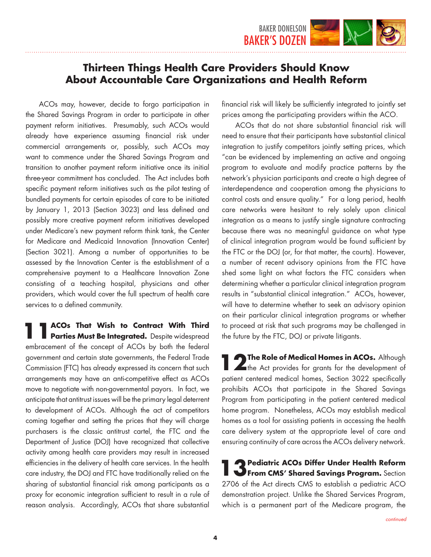

ACOs may, however, decide to forgo participation in the Shared Savings Program in order to participate in other payment reform initiatives. Presumably, such ACOs would already have experience assuming financial risk under commercial arrangements or, possibly, such ACOs may want to commence under the Shared Savings Program and transition to another payment reform initiative once its initial three-year commitment has concluded. The Act includes both specific payment reform initiatives such as the pilot testing of bundled payments for certain episodes of care to be initiated by January 1, 2013 (Section 3023) and less defined and possibly more creative payment reform initiatives developed under Medicare's new payment reform think tank, the Center for Medicare and Medicaid Innovation (Innovation Center) (Section 3021). Among a number of opportunities to be assessed by the Innovation Center is the establishment of a comprehensive payment to a Healthcare Innovation Zone consisting of a teaching hospital, physicians and other providers, which would cover the full spectrum of health care services to a defined community.

**11 ACOs That Wish to Contract With Third <br>
<b>Parties Must Be Integrated.** Despite widespread embracement of the concept of ACOs by both the federal government and certain state governments, the Federal Trade Commission (FTC) has already expressed its concern that such arrangements may have an anti-competitive effect as ACOs move to negotiate with non-governmental payors. In fact, we anticipate that antitrust issues will be the primary legal deterrent to development of ACOs. Although the act of competitors coming together and setting the prices that they will charge purchasers is the classic antitrust cartel, the FTC and the Department of Justice (DOJ) have recognized that collective activity among health care providers may result in increased efficiencies in the delivery of health care services. In the health care industry, the DOJ and FTC have traditionally relied on the sharing of substantial financial risk among participants as a proxy for economic integration sufficient to result in a rule of reason analysis. Accordingly, ACOs that share substantial

financial risk will likely be sufficiently integrated to jointly set prices among the participating providers within the ACO.

ACOs that do not share substantial financial risk will need to ensure that their participants have substantial clinical integration to justify competitors jointly setting prices, which "can be evidenced by implementing an active and ongoing program to evaluate and modify practice patterns by the network's physician participants and create a high degree of interdependence and cooperation among the physicians to control costs and ensure quality." For a long period, health care networks were hesitant to rely solely upon clinical integration as a means to justify single signature contracting because there was no meaningful guidance on what type of clinical integration program would be found sufficient by the FTC or the DOJ (or, for that matter, the courts). However, a number of recent advisory opinions from the FTC have shed some light on what factors the FTC considers when determining whether a particular clinical integration program results in "substantial clinical integration." ACOs, however, will have to determine whether to seek an advisory opinion on their particular clinical integration programs or whether to proceed at risk that such programs may be challenged in the future by the FTC, DOJ or private litigants.

**12The Role of Medical Homes in ACOs.** Although the Act provides for grants for the development of patient centered medical homes, Section 3022 specifically prohibits ACOs that participate in the Shared Savings Program from participating in the patient centered medical home program. Nonetheless, ACOs may establish medical homes as a tool for assisting patients in accessing the health care delivery system at the appropriate level of care and ensuring continuity of care across the ACOs delivery network.

**13 Pediatric ACOs Differ Under Health Reform From CMS' Shared Savings Program.** Section 2706 of the Act directs CMS to establish a pediatric ACO demonstration project. Unlike the Shared Services Program, which is a permanent part of the Medicare program, the